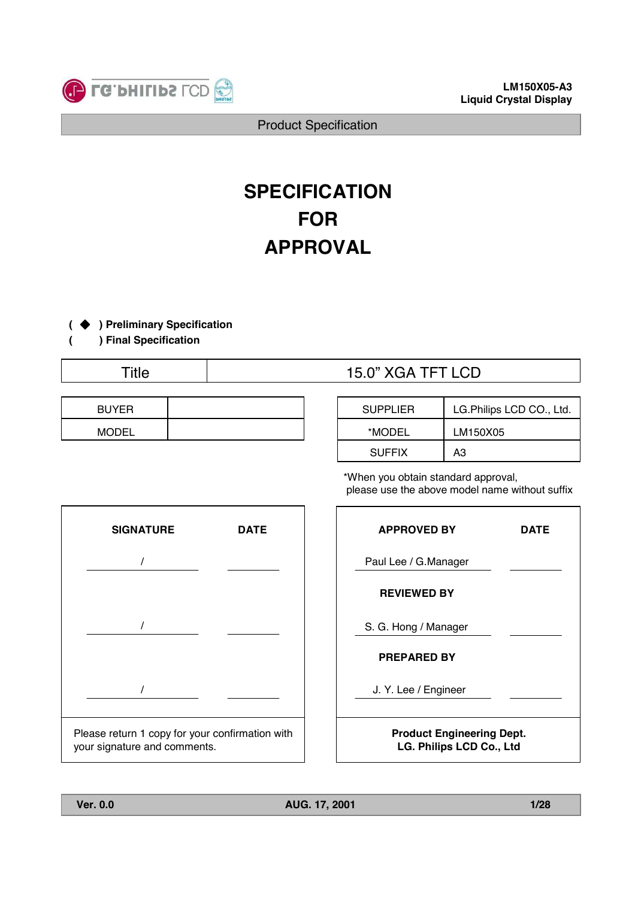

# **SPECIFICATION FOR APPROVAL**

### **( ) Preliminary Specification**

**( ) Final Specification**

| <b>BUYER</b> |  |
|--------------|--|
| <b>MODEL</b> |  |

# Title  $\qquad$  | 15.0" XGA TFT LCD

| <b>SUPPLIER</b> | LG. Philips LCD CO., Ltd. |
|-----------------|---------------------------|
| *MODEL          | LM150X05                  |
| <b>SUFFIX</b>   | AЗ                        |

\*When you obtain standard approval, please use the above model name without suffix



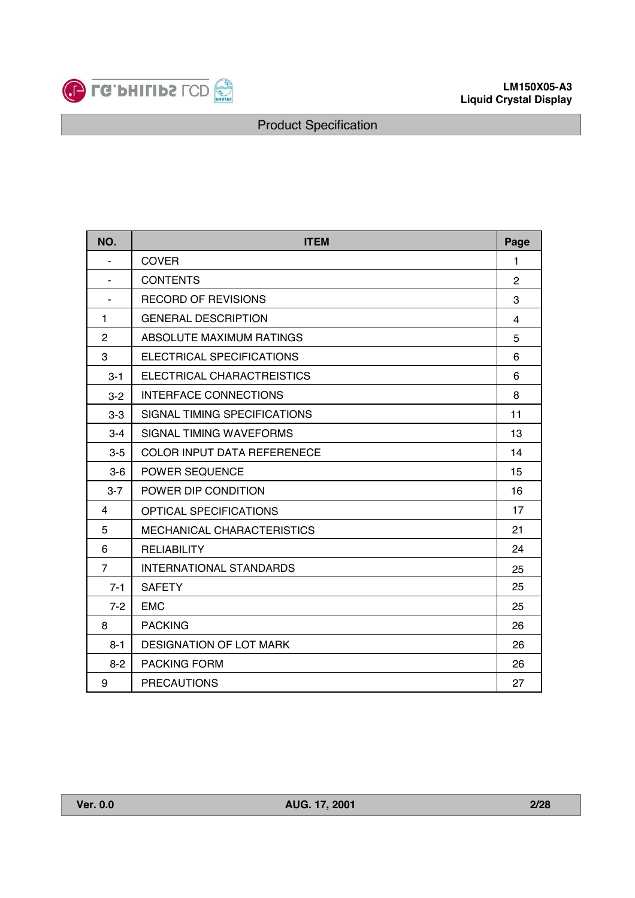

| NO.            | <b>ITEM</b><br>Page                |    |  |  |  |
|----------------|------------------------------------|----|--|--|--|
|                | <b>COVER</b>                       | 1  |  |  |  |
|                | <b>CONTENTS</b>                    | 2  |  |  |  |
| ٠              | <b>RECORD OF REVISIONS</b>         |    |  |  |  |
| 1              | <b>GENERAL DESCRIPTION</b>         | 4  |  |  |  |
| $\overline{2}$ | ABSOLUTE MAXIMUM RATINGS           | 5  |  |  |  |
| 3              | ELECTRICAL SPECIFICATIONS          | 6  |  |  |  |
| $3 - 1$        | ELECTRICAL CHARACTREISTICS         | 6  |  |  |  |
| $3 - 2$        | <b>INTERFACE CONNECTIONS</b>       | 8  |  |  |  |
| $3-3$          | SIGNAL TIMING SPECIFICATIONS       | 11 |  |  |  |
| $3 - 4$        | SIGNAL TIMING WAVEFORMS            | 13 |  |  |  |
| $3 - 5$        | <b>COLOR INPUT DATA REFERENECE</b> | 14 |  |  |  |
| $3-6$          | POWER SEQUENCE                     | 15 |  |  |  |
| $3 - 7$        | POWER DIP CONDITION                | 16 |  |  |  |
| 4              | OPTICAL SPECIFICATIONS             | 17 |  |  |  |
| 5              | MECHANICAL CHARACTERISTICS         | 21 |  |  |  |
| 6              | <b>RELIABILITY</b>                 | 24 |  |  |  |
| $\overline{7}$ | <b>INTERNATIONAL STANDARDS</b>     | 25 |  |  |  |
| $7 - 1$        | <b>SAFETY</b>                      | 25 |  |  |  |
| $7 - 2$        | <b>EMC</b>                         | 25 |  |  |  |
| 8              | <b>PACKING</b>                     | 26 |  |  |  |
| $8 - 1$        | DESIGNATION OF LOT MARK            | 26 |  |  |  |
| $8 - 2$        | <b>PACKING FORM</b>                | 26 |  |  |  |
| 9              | <b>PRECAUTIONS</b>                 | 27 |  |  |  |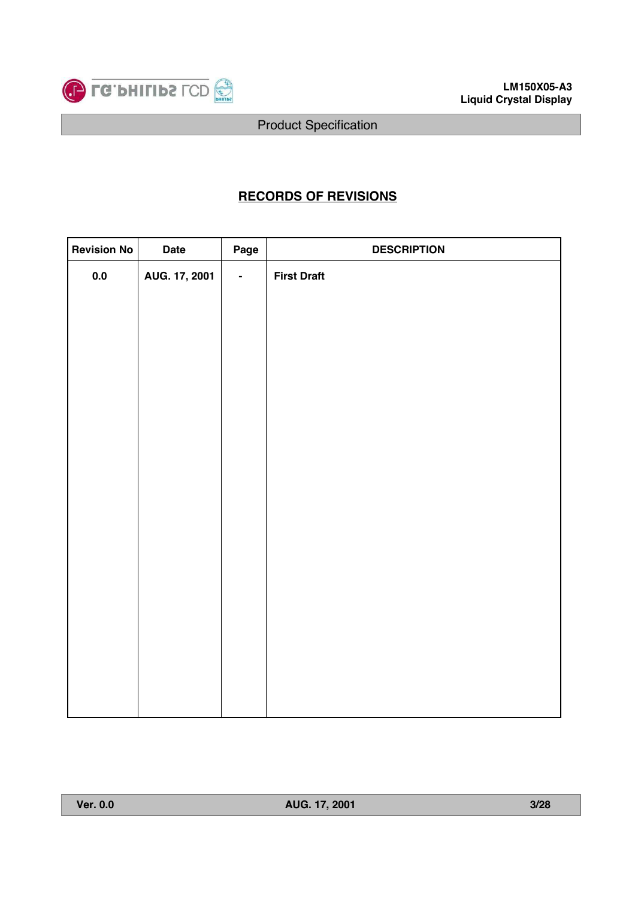

# **RECORDS OF REVISIONS**

| <b>Revision No</b> | <b>Date</b>   | Page           | <b>DESCRIPTION</b> |
|--------------------|---------------|----------------|--------------------|
| $0.0\,$            | AUG. 17, 2001 | $\blacksquare$ | <b>First Draft</b> |
|                    |               |                |                    |
|                    |               |                |                    |
|                    |               |                |                    |
|                    |               |                |                    |
|                    |               |                |                    |
|                    |               |                |                    |
|                    |               |                |                    |
|                    |               |                |                    |
|                    |               |                |                    |
|                    |               |                |                    |
|                    |               |                |                    |
|                    |               |                |                    |
|                    |               |                |                    |
|                    |               |                |                    |
|                    |               |                |                    |
|                    |               |                |                    |
|                    |               |                |                    |
|                    |               |                |                    |
|                    |               |                |                    |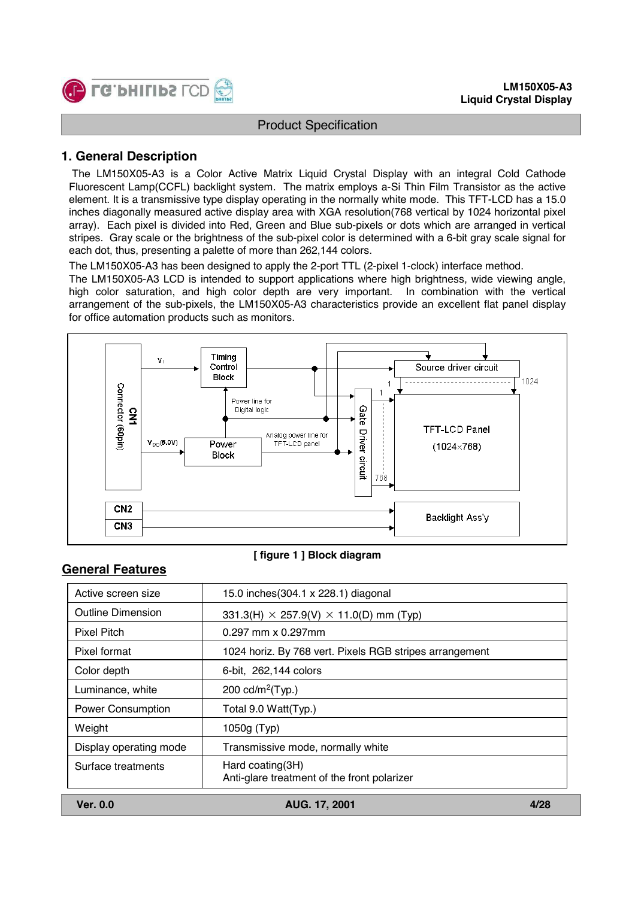

### **1. General Description**

The LM150X05-A3 is a Color Active Matrix Liquid Crystal Display with an integral Cold Cathode Fluorescent Lamp(CCFL) backlight system. The matrix employs a-Si Thin Film Transistor as the active element. It is a transmissive type display operating in the normally white mode. This TFT-LCD has a 15.0 inches diagonally measured active display area with XGA resolution(768 vertical by 1024 horizontal pixel array). Each pixel is divided into Red, Green and Blue sub-pixels or dots which are arranged in vertical stripes. Gray scale or the brightness of the sub-pixel color is determined with a 6-bit gray scale signal for each dot, thus, presenting a palette of more than 262,144 colors.

The LM150X05-A3 has been designed to apply the 2-port TTL (2-pixel 1-clock) interface method.

The LM150X05-A3 LCD is intended to support applications where high brightness, wide viewing angle, high color saturation, and high color depth are very important. In combination with the vertical arrangement of the sub-pixels, the LM150X05-A3 characteristics provide an excellent flat panel display for office automation products such as monitors.



#### **[ figure 1 ] Block diagram**

#### **General Features**

| <b>Ver. 0.0</b>          | AUG. 17. 2001                                                   | 4/28 |
|--------------------------|-----------------------------------------------------------------|------|
| Surface treatments       | Hard coating(3H)<br>Anti-glare treatment of the front polarizer |      |
| Display operating mode   | Transmissive mode, normally white                               |      |
| Weight                   | 1050g (Typ)                                                     |      |
| <b>Power Consumption</b> | Total 9.0 Watt(Typ.)                                            |      |
| Luminance, white         | 200 $cd/m^2$ (Typ.)                                             |      |
| Color depth              | 6-bit, 262,144 colors                                           |      |
| Pixel format             | 1024 horiz. By 768 vert. Pixels RGB stripes arrangement         |      |
| Pixel Pitch              | $0.297$ mm x $0.297$ mm                                         |      |
| <b>Outline Dimension</b> | $331.3(H) \times 257.9(V) \times 11.0(D)$ mm (Typ)              |      |
| Active screen size       | 15.0 inches (304.1 x 228.1) diagonal                            |      |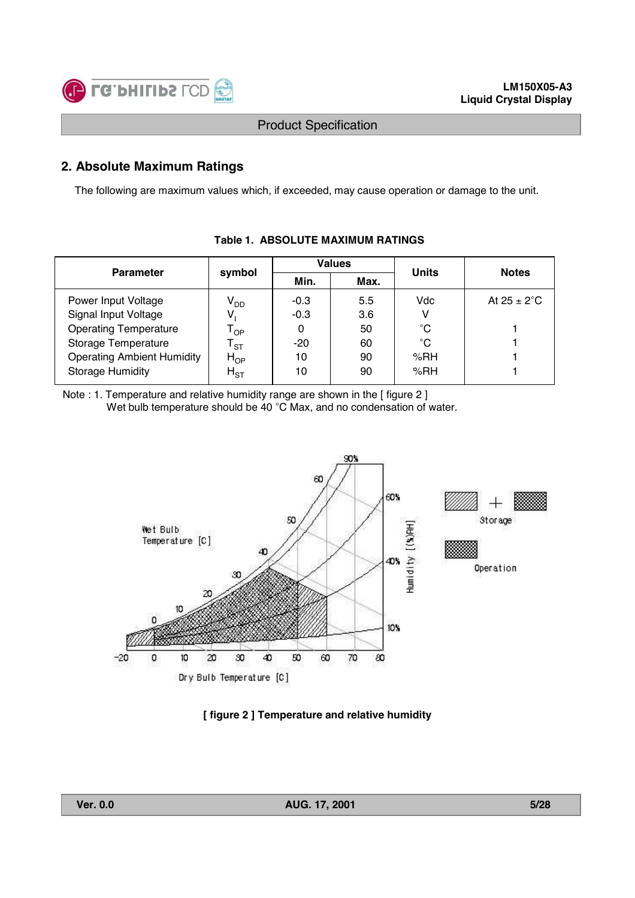

# **2. Absolute Maximum Ratings**

The following are maximum values which, if exceeded, may cause operation or damage to the unit.

| <b>Parameter</b>                  | symbol                     |        | <b>Values</b> | <b>Units</b> | <b>Notes</b>            |  |
|-----------------------------------|----------------------------|--------|---------------|--------------|-------------------------|--|
|                                   |                            | Min.   | Max.          |              |                         |  |
| Power Input Voltage               | $V_{DD}$                   | $-0.3$ | 5.5           | Vdc          | At $25 \pm 2^{\circ}$ C |  |
| Signal Input Voltage              |                            | $-0.3$ | 3.6           |              |                         |  |
| <b>Operating Temperature</b>      | l op                       | 0      | 50            | $^{\circ}$ C |                         |  |
| Storage Temperature               | $\mathsf{T}_{\texttt{ST}}$ | $-20$  | 60            | $^{\circ}$ C |                         |  |
| <b>Operating Ambient Humidity</b> | $H_{OP}$                   | 10     | 90            | %RH          |                         |  |
| <b>Storage Humidity</b>           | $H_{ST}$                   | 10     | 90            | %RH          |                         |  |

### **Table 1. ABSOLUTE MAXIMUM RATINGS**

Note : 1. Temperature and relative humidity range are shown in the [ figure 2 ] Wet bulb temperature should be 40 °C Max, and no condensation of water.



#### **[ figure 2 ] Temperature and relative humidity**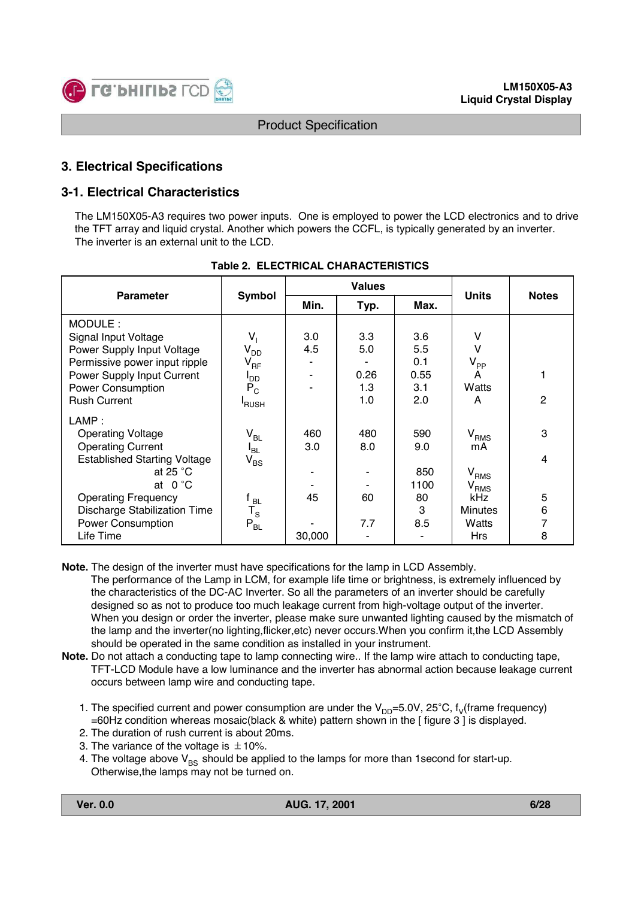

### **3. Electrical Specifications**

### **3-1. Electrical Characteristics**

The LM150X05-A3 requires two power inputs. One is employed to power the LCD electronics and to drive the TFT array and liquid crystal. Another which powers the CCFL, is typically generated by an inverter. The inverter is an external unit to the LCD.

| <b>Parameter</b>                    |                         |        | <b>Values</b> | <b>Units</b> | <b>Notes</b>   |   |  |
|-------------------------------------|-------------------------|--------|---------------|--------------|----------------|---|--|
|                                     | <b>Symbol</b>           | Min.   | Typ.          | Max.         |                |   |  |
| MODULE:                             |                         |        |               |              |                |   |  |
| Signal Input Voltage                | V,                      | 3.0    | 3.3           | 3.6          | v              |   |  |
| Power Supply Input Voltage          | $V_{DD}$                | 4.5    | 5.0           | 5.5          | v              |   |  |
| Permissive power input ripple       | $V_{RF}$                |        |               | 0.1          | $V_{PP}$       |   |  |
| Power Supply Input Current          | l <sub>DD</sub>         |        | 0.26          | 0.55         | A              | 1 |  |
| <b>Power Consumption</b>            | $P_C$                   |        | 1.3           | 3.1          | Watts          |   |  |
| <b>Rush Current</b>                 | <sup>I</sup> RUSH       |        | 1.0           | 2.0          | A              | 2 |  |
| LAMP:                               |                         |        |               |              |                |   |  |
| <b>Operating Voltage</b>            | $V_{BL}$                | 460    | 480           | 590          | $V_{RMS}$      | 3 |  |
| <b>Operating Current</b>            | $I_{BL}$                | 3.0    | 8.0           | 9.0          | mA             |   |  |
| <b>Established Starting Voltage</b> | $V_{BS}$                |        |               |              |                | 4 |  |
| at 25 $°C$                          |                         |        |               | 850          | $\rm V_{RMS}$  |   |  |
| at $0^{\circ}$ C                    |                         |        |               | 1100         | $V_{RMS}$      |   |  |
| <b>Operating Frequency</b>          | $^{\mathfrak c}$ BL.    | 45     | 60            | 80           | <b>kHz</b>     | 5 |  |
| <b>Discharge Stabilization Time</b> | $\mathsf{T}_\mathsf{S}$ |        |               | 3            | <b>Minutes</b> | 6 |  |
| <b>Power Consumption</b>            | $P_{BL}$                |        | 7.7           | 8.5          | Watts          | 7 |  |
| Life Time                           |                         | 30,000 |               |              | <b>Hrs</b>     | 8 |  |

#### **Table 2. ELECTRICAL CHARACTERISTICS**

- **Note.** The design of the inverter must have specifications for the lamp in LCD Assembly. The performance of the Lamp in LCM, for example life time or brightness, is extremely influenced by the characteristics of the DC-AC Inverter. So all the parameters of an inverter should be carefully designed so as not to produce too much leakage current from high-voltage output of the inverter. When you design or order the inverter, please make sure unwanted lighting caused by the mismatch of the lamp and the inverter(no lighting,flicker,etc) never occurs.When you confirm it,the LCD Assembly should be operated in the same condition as installed in your instrument.
- **Note.** Do not attach a conducting tape to lamp connecting wire.. If the lamp wire attach to conducting tape, TFT-LCD Module have a low luminance and the inverter has abnormal action because leakage current occurs between lamp wire and conducting tape.
	- 1. The specified current and power consumption are under the  $V_{DD}=5.0V$ , 25°C, f<sub>V</sub>(frame frequency) =60Hz condition whereas mosaic(black & white) pattern shown in the [ figure 3 ] is displayed.
	- 2. The duration of rush current is about 20ms.
	- 3. The variance of the voltage is  $\pm$  10%.
	- 4. The voltage above  $V_{BS}$  should be applied to the lamps for more than 1 second for start-up. Otherwise,the lamps may not be turned on.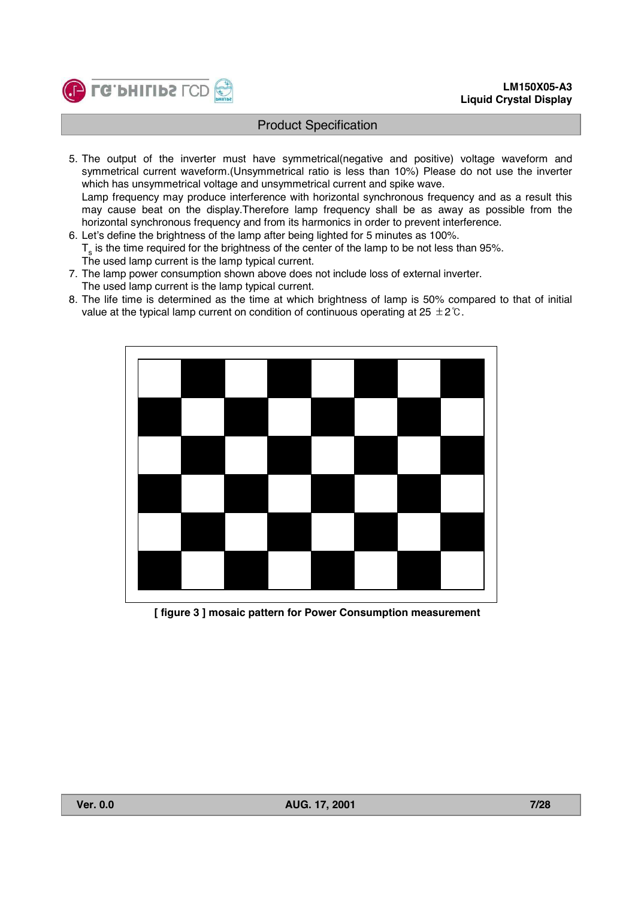

- 5. The output of the inverter must have symmetrical(negative and positive) voltage waveform and symmetrical current waveform.(Unsymmetrical ratio is less than 10%) Please do not use the inverter which has unsymmetrical voltage and unsymmetrical current and spike wave. Lamp frequency may produce interference with horizontal synchronous frequency and as a result this may cause beat on the display.Therefore lamp frequency shall be as away as possible from the
- horizontal synchronous frequency and from its harmonics in order to prevent interference.
- 6. Let's define the brightness of the lamp after being lighted for 5 minutes as 100%.  $T<sub>s</sub>$  is the time required for the brightness of the center of the lamp to be not less than 95%. The used lamp current is the lamp typical current.
- 7. The lamp power consumption shown above does not include loss of external inverter. The used lamp current is the lamp typical current.
- 8. The life time is determined as the time at which brightness of lamp is 50% compared to that of initial value at the typical lamp current on condition of continuous operating at  $25 \pm 2^{\circ}$ .



**[ figure 3 ] mosaic pattern for Power Consumption measurement**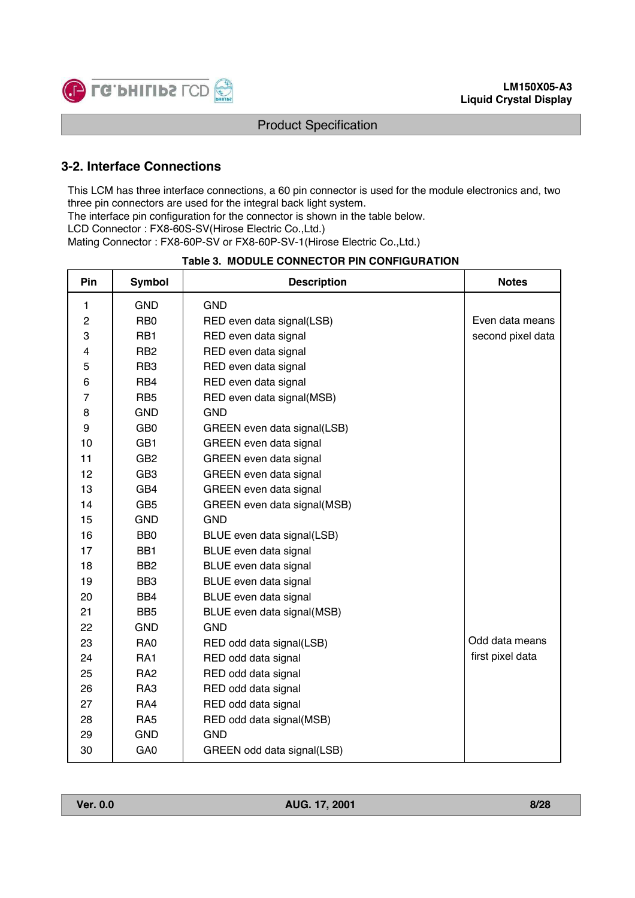

# **3-2. Interface Connections**

This LCM has three interface connections, a 60 pin connector is used for the module electronics and, two three pin connectors are used for the integral back light system.

The interface pin configuration for the connector is shown in the table below.

LCD Connector : FX8-60S-SV(Hirose Electric Co.,Ltd.)

Mating Connector : FX8-60P-SV or FX8-60P-SV-1(Hirose Electric Co.,Ltd.)

| <b>Table 3. MODULE CONNECTOR PIN CONFIGURATION</b> |
|----------------------------------------------------|
|----------------------------------------------------|

| Pin              | <b>Symbol</b>   | <b>Description</b>            | <b>Notes</b>      |
|------------------|-----------------|-------------------------------|-------------------|
| 1                | <b>GND</b>      | <b>GND</b>                    |                   |
| $\boldsymbol{2}$ | RB <sub>0</sub> | RED even data signal(LSB)     | Even data means   |
| 3                | RB1             | RED even data signal          | second pixel data |
| 4                | R <sub>B2</sub> | RED even data signal          |                   |
| 5                | RB <sub>3</sub> | RED even data signal          |                   |
| 6                | RB4             | RED even data signal          |                   |
| $\overline{7}$   | RB <sub>5</sub> | RED even data signal(MSB)     |                   |
| 8                | <b>GND</b>      | <b>GND</b>                    |                   |
| 9                | GB <sub>0</sub> | GREEN even data signal(LSB)   |                   |
| 10               | GB1             | GREEN even data signal        |                   |
| 11               | GB <sub>2</sub> | GREEN even data signal        |                   |
| 12               | GB <sub>3</sub> | GREEN even data signal        |                   |
| 13               | GB4             | <b>GREEN</b> even data signal |                   |
| 14               | GB <sub>5</sub> | GREEN even data signal(MSB)   |                   |
| 15               | <b>GND</b>      | <b>GND</b>                    |                   |
| 16               | BB <sub>0</sub> | BLUE even data signal(LSB)    |                   |
| 17               | BB <sub>1</sub> | BLUE even data signal         |                   |
| 18               | BB <sub>2</sub> | BLUE even data signal         |                   |
| 19               | BB <sub>3</sub> | BLUE even data signal         |                   |
| 20               | BB4             | BLUE even data signal         |                   |
| 21               | BB <sub>5</sub> | BLUE even data signal(MSB)    |                   |
| 22               | <b>GND</b>      | <b>GND</b>                    |                   |
| 23               | RA0             | RED odd data signal(LSB)      | Odd data means    |
| 24               | RA1             | RED odd data signal           | first pixel data  |
| 25               | RA <sub>2</sub> | RED odd data signal           |                   |
| 26               | RA3             | RED odd data signal           |                   |
| 27               | RA4             | RED odd data signal           |                   |
| 28               | RA <sub>5</sub> | RED odd data signal(MSB)      |                   |
| 29               | <b>GND</b>      | <b>GND</b>                    |                   |
| 30               | GA <sub>0</sub> | GREEN odd data signal(LSB)    |                   |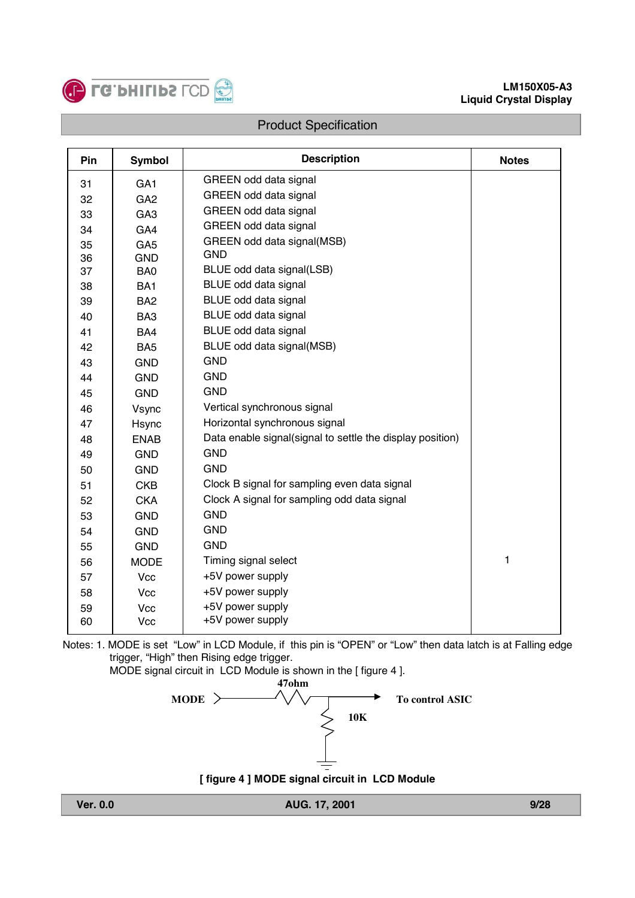

| Pin | <b>Symbol</b>   | <b>Description</b>                                        | <b>Notes</b> |
|-----|-----------------|-----------------------------------------------------------|--------------|
| 31  | GA <sub>1</sub> | GREEN odd data signal                                     |              |
| 32  | GA <sub>2</sub> | GREEN odd data signal                                     |              |
| 33  | GA <sub>3</sub> | GREEN odd data signal                                     |              |
| 34  | GA4             | GREEN odd data signal                                     |              |
| 35  | GA <sub>5</sub> | GREEN odd data signal(MSB)                                |              |
| 36  | <b>GND</b>      | <b>GND</b>                                                |              |
| 37  | BA <sub>0</sub> | BLUE odd data signal(LSB)                                 |              |
| 38  | BA <sub>1</sub> | BLUE odd data signal                                      |              |
| 39  | BA <sub>2</sub> | BLUE odd data signal                                      |              |
| 40  | BA <sub>3</sub> | BLUE odd data signal                                      |              |
| 41  | BA4             | BLUE odd data signal                                      |              |
| 42  | BA <sub>5</sub> | BLUE odd data signal(MSB)                                 |              |
| 43  | <b>GND</b>      | <b>GND</b>                                                |              |
| 44  | <b>GND</b>      | <b>GND</b>                                                |              |
| 45  | <b>GND</b>      | <b>GND</b>                                                |              |
| 46  | Vsync           | Vertical synchronous signal                               |              |
| 47  | Hsync           | Horizontal synchronous signal                             |              |
| 48  | <b>ENAB</b>     | Data enable signal(signal to settle the display position) |              |
| 49  | <b>GND</b>      | <b>GND</b>                                                |              |
| 50  | <b>GND</b>      | <b>GND</b>                                                |              |
| 51  | <b>CKB</b>      | Clock B signal for sampling even data signal              |              |
| 52  | <b>CKA</b>      | Clock A signal for sampling odd data signal               |              |
| 53  | <b>GND</b>      | <b>GND</b>                                                |              |
| 54  | <b>GND</b>      | <b>GND</b>                                                |              |
| 55  | <b>GND</b>      | <b>GND</b>                                                |              |
| 56  | <b>MODE</b>     | Timing signal select                                      | 1            |
| 57  | <b>Vcc</b>      | +5V power supply                                          |              |
| 58  | Vcc             | +5V power supply                                          |              |
| 59  | Vcc             | +5V power supply                                          |              |
| 60  | Vcc             | +5V power supply                                          |              |

Notes: 1. MODE is set "Low" in LCD Module, if this pin is "OPEN" or "Low" then data latch is at Falling edge trigger, "High" then Rising edge trigger.



**[ figure 4 ] MODE signal circuit in LCD Module**

**Ver. 0.0 AUG. 17, 2001 9/28**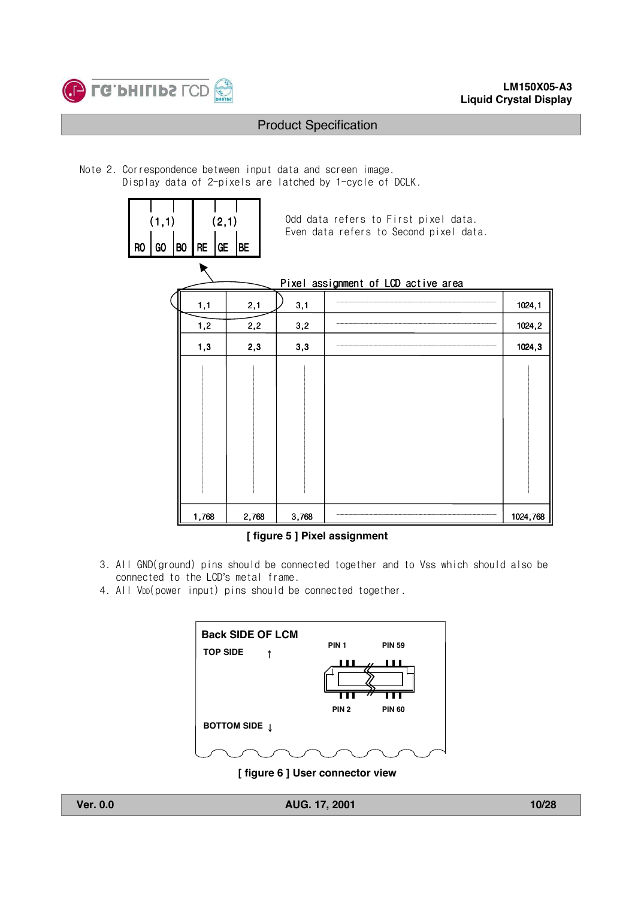

#### **LM150X05-A3 Liquid Crystal Display**

### Product Specification

Note 2. Correspondence between input data and screen image. Display data of 2-pixels are latched by 1-cycle of DCLK.

| RO | (1,1)<br>GO | B <sub>0</sub> | (2,1)<br><b>RE</b><br>GE | <b>BE</b> |       | Odd data refers to First pixel data.<br>Even data refers to Second pixel data. |          |
|----|-------------|----------------|--------------------------|-----------|-------|--------------------------------------------------------------------------------|----------|
|    |             |                |                          |           |       | Pixel assignment of LCD active area                                            |          |
|    |             |                | 1,1                      | 2,1       | 3,1   |                                                                                | 1024,1   |
|    |             |                | 1,2                      | 2,2       | 3,2   |                                                                                | 1024,2   |
|    |             |                | 1,3                      | 2,3       | 3,3   |                                                                                | 1024,3   |
|    |             |                |                          |           |       |                                                                                |          |
|    |             |                | 1,768                    | 2,768     | 3,768 |                                                                                | 1024,768 |

#### **[ figure 5 ] Pixel assignment**

- 3. All GND(ground) pins should be connected together and to Vss which should also be connected to the LCD's metal frame.
- 4. All V<sub>DD</sub>(power input) pins should be connected together.



**[ figure 6 ] User connector view**

**Ver. 0.0 AUG. 17, 2001 10/28**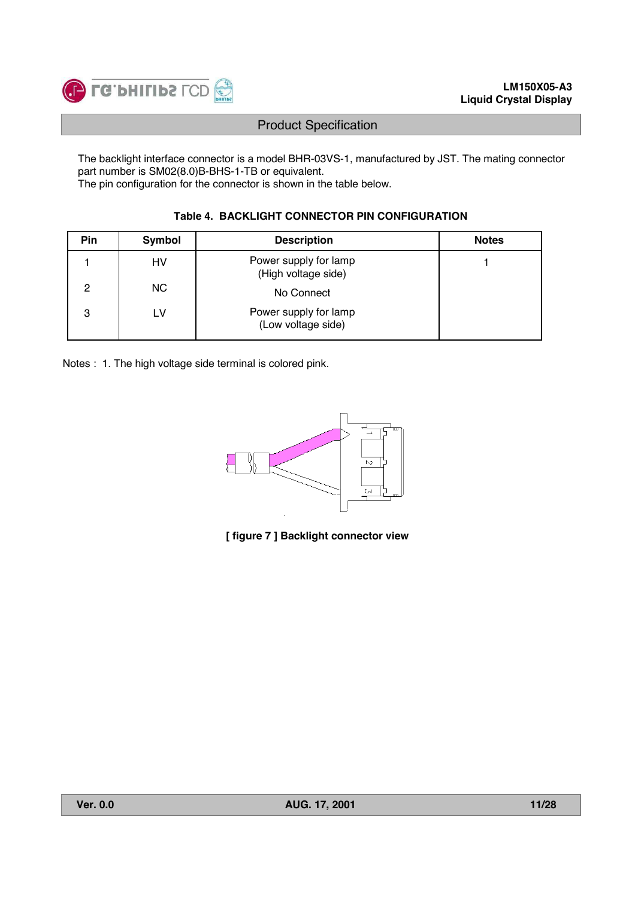

The backlight interface connector is a model BHR-03VS-1, manufactured by JST. The mating connector part number is SM02(8.0)B-BHS-1-TB or equivalent.

The pin configuration for the connector is shown in the table below.

### **Table 4. BACKLIGHT CONNECTOR PIN CONFIGURATION**

| <b>Pin</b> | <b>Symbol</b> | <b>Description</b>                           | <b>Notes</b> |
|------------|---------------|----------------------------------------------|--------------|
|            | HV            | Power supply for lamp<br>(High voltage side) |              |
| 2          | <b>NC</b>     | No Connect                                   |              |
| 3          | LV            | Power supply for lamp<br>(Low voltage side)  |              |

Notes : 1. The high voltage side terminal is colored pink.



**[ figure 7 ] Backlight connector view**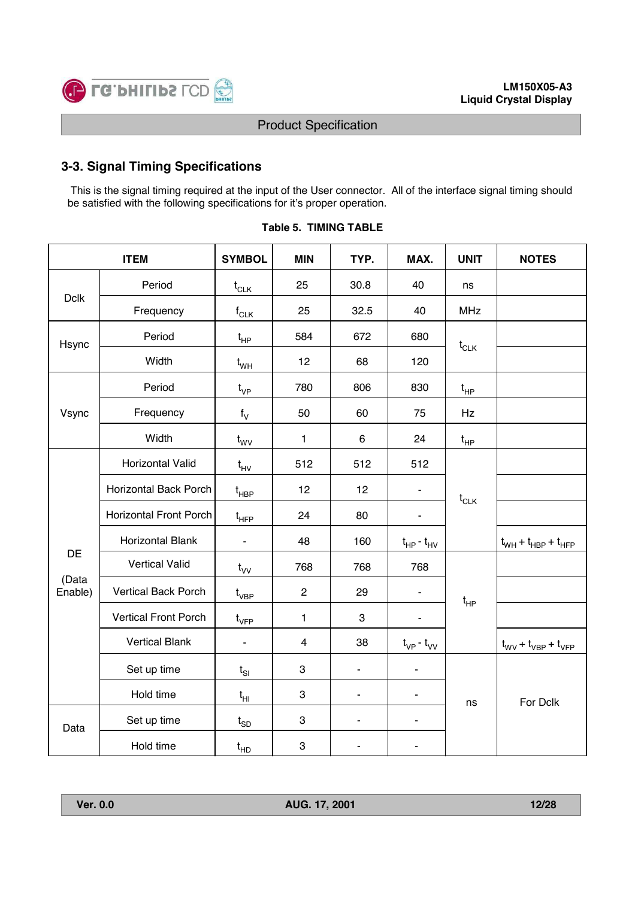

# **3-3. Signal Timing Specifications**

This is the signal timing required at the input of the User connector. All of the interface signal timing should be satisfied with the following specifications for it's proper operation.

|                  | <b>ITEM</b>                   |                                                 | <b>MIN</b>     | TYP.                     | MAX.                         | <b>UNIT</b> | <b>NOTES</b>                                      |
|------------------|-------------------------------|-------------------------------------------------|----------------|--------------------------|------------------------------|-------------|---------------------------------------------------|
|                  | Period                        | $t_{CLK}$                                       | 25             | 30.8                     | 40                           | ns          |                                                   |
| <b>Dclk</b>      | Frequency                     | $f_{CLK}$                                       | 25             | 32.5                     | 40                           | <b>MHz</b>  |                                                   |
| Hsync            | Period                        | $t_{HP}$                                        | 584            | 672                      | 680                          | $t_{CLK}$   |                                                   |
|                  | Width                         | $t_{WH}$                                        | 12             | 68                       | 120                          |             |                                                   |
|                  | Period                        | $t_{VP}$                                        | 780            | 806                      | 830                          | $t_{HP}$    |                                                   |
| Vsync            | Frequency                     | $f_V$                                           | 50             | 60                       | 75                           | Hz          |                                                   |
|                  | Width                         | $t_{\rm WV}$                                    | $\mathbf{1}$   | 6                        | 24                           | $t_{HP}$    |                                                   |
|                  | Horizontal Valid              | $t_{HV}$                                        | 512            | 512                      | 512                          |             |                                                   |
|                  | <b>Horizontal Back Porch</b>  | $\mathfrak{t}_{\mathsf{H}\mathsf{B}\mathsf{P}}$ | 12             | 12                       |                              | $t_{CLK}$   |                                                   |
|                  | <b>Horizontal Front Porch</b> | $t_{\scriptscriptstyle \sf HFP}$                | 24             | 80                       | $\overline{\phantom{0}}$     |             |                                                   |
|                  | Horizontal Blank              | $\blacksquare$                                  | 48             | 160                      | $t_{HP}$ - $t_{HV}$          |             | $t_{WH} + t_{HBP} + t_{HFP}$                      |
| <b>DE</b>        | <b>Vertical Valid</b>         | $t_{\rm VV}$                                    | 768            | 768                      | 768                          |             |                                                   |
| (Data<br>Enable) | <b>Vertical Back Porch</b>    | $\mathfrak{t}_{\mathsf{VBP}}$                   | $\overline{c}$ | 29                       |                              | $t_{HP}$    |                                                   |
|                  | <b>Vertical Front Porch</b>   | $t_{\rm VFP}$                                   | $\mathbf{1}$   | 3                        | $\qquad \qquad \blacksquare$ |             |                                                   |
|                  | <b>Vertical Blank</b>         | $\blacksquare$                                  | $\overline{4}$ | 38                       | $t_{VP}$ - $t_{VV}$          |             | $t_{\text{WV}} + t_{\text{VBP}} + t_{\text{VFP}}$ |
|                  | Set up time                   | $t_{SI}$                                        | 3              | $\overline{\phantom{a}}$ | $\blacksquare$               |             |                                                   |
|                  | Hold time                     | $t_{HI}$                                        | 3              | $\overline{\phantom{a}}$ | $\blacksquare$               | ns          | For Dclk                                          |
| Data             | Set up time                   | $t_{SD}$                                        | 3              | $\blacksquare$           | $\blacksquare$               |             |                                                   |
|                  | Hold time                     | $t_{HD}$                                        | 3              | ä,                       | ä,                           |             |                                                   |

| <b>Table 5. TIMING TABLE</b> |  |
|------------------------------|--|
|                              |  |

**Ver. 0.0 AUG. 17, 2001 12/28**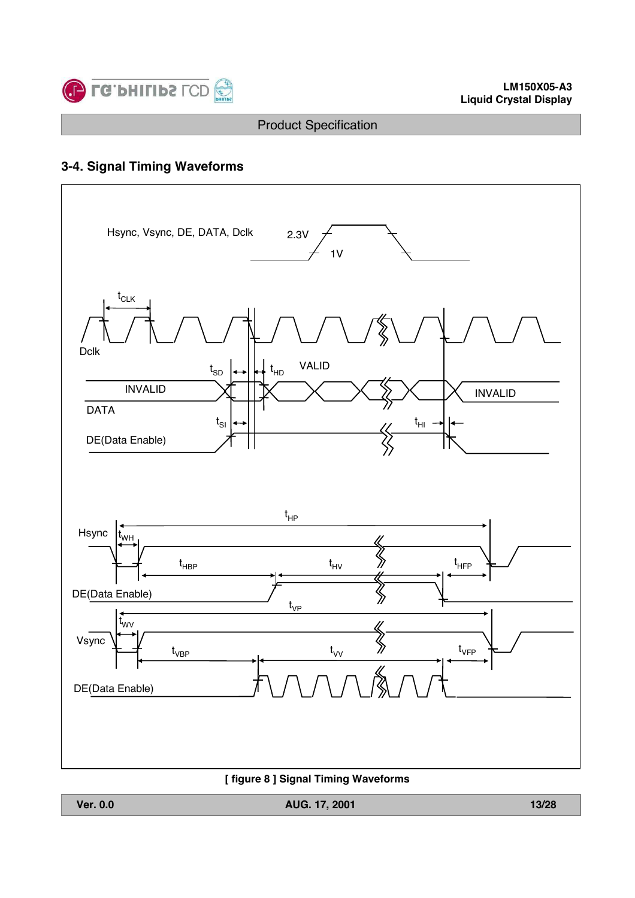

# **3-4. Signal Timing Waveforms**



**Ver. 0.0 AUG. 17, 2001 13/28**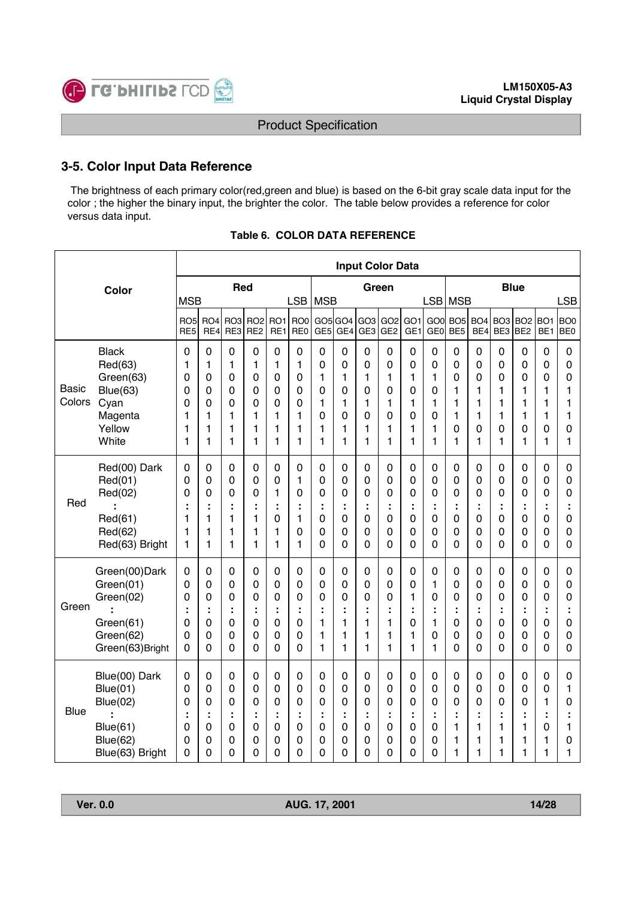

### **3-5. Color Input Data Reference**

The brightness of each primary color(red,green and blue) is based on the 6-bit gray scale data input for the color ; the higher the binary input, the brighter the color. The table below provides a reference for color versus data input.

|                        |                                                                                                    |                                      |                                                                              |                                                                         |                                                |                                        |                                                            |                                                  |                                                               |                                                                                    | <b>Input Color Data</b>                   |                                                          |                                                                      |                                                     |                                      |                                                            |                                                                         |                                                               |                                                |
|------------------------|----------------------------------------------------------------------------------------------------|--------------------------------------|------------------------------------------------------------------------------|-------------------------------------------------------------------------|------------------------------------------------|----------------------------------------|------------------------------------------------------------|--------------------------------------------------|---------------------------------------------------------------|------------------------------------------------------------------------------------|-------------------------------------------|----------------------------------------------------------|----------------------------------------------------------------------|-----------------------------------------------------|--------------------------------------|------------------------------------------------------------|-------------------------------------------------------------------------|---------------------------------------------------------------|------------------------------------------------|
|                        | Color                                                                                              | <b>MSB</b>                           |                                                                              | <b>Red</b>                                                              |                                                |                                        | <b>LSB</b>                                                 | <b>MSB</b>                                       |                                                               |                                                                                    | Green                                     |                                                          | LSB MSB                                                              |                                                     |                                      |                                                            | <b>Blue</b>                                                             |                                                               | <b>LSB</b>                                     |
|                        |                                                                                                    | RO <sub>5</sub><br>RE <sub>5</sub>   | RO <sub>4</sub><br>RE4                                                       | RO <sub>3</sub><br>RE3                                                  | RO <sub>2</sub><br>RE <sub>2</sub>             | RO1<br>RE1                             | RO <sub>0</sub><br>RE <sub>0</sub>                         | GE <sub>5</sub>                                  | GO5 GO4<br>GE4                                                | GO3<br>GE3                                                                         | GO <sub>2</sub><br>GE <sub>2</sub>        | GO <sub>1</sub><br>GE <sub>1</sub>                       | GOO<br>GE <sub>0</sub>                                               | BO <sub>5</sub><br>BE <sub>5</sub>                  | BO <sub>4</sub><br>BE4               | BO <sub>3</sub><br>BE3                                     | BO <sub>2</sub><br>BE <sub>2</sub>                                      | BO1<br>BE <sub>1</sub>                                        | BO <sub>0</sub><br>BE <sub>0</sub>             |
| <b>Basic</b><br>Colors | <b>Black</b><br>Red(63)<br>Green(63)<br>Blue(63)<br>Cyan<br>Magenta<br>Yellow<br>White             | 0<br>1<br>0<br>0<br>0<br>1<br>1<br>1 | $\mathbf 0$<br>1<br>$\mathbf 0$<br>$\mathbf 0$<br>$\mathbf 0$<br>1<br>1<br>1 | $\mathbf 0$<br>1<br>0<br>$\mathbf 0$<br>0<br>1<br>1<br>1                | $\mathbf 0$<br>1<br>0<br>0<br>0<br>1<br>1<br>1 | 0<br>1<br>0<br>0<br>0<br>1<br>1<br>1   | 0<br>$\mathbf{1}$<br>0<br>0<br>0<br>$\mathbf{1}$<br>1<br>1 | 0<br>0<br>1<br>0<br>1<br>0<br>1<br>1             | 0<br>0<br>1<br>0<br>1<br>0<br>1<br>1                          | $\mathbf 0$<br>$\mathbf 0$<br>1<br>$\mathbf 0$<br>1<br>0<br>1<br>1                 | 0<br>0<br>1<br>0<br>1<br>0<br>1<br>1      | 0<br>0<br>1<br>0<br>1<br>0<br>1<br>1                     | $\mathbf 0$<br>$\mathbf 0$<br>1<br>0<br>1<br>0<br>1<br>1             | 0<br>0<br>0<br>1<br>1<br>1<br>0<br>1                | 0<br>0<br>0<br>1<br>1<br>1<br>0<br>1 | $\mathbf 0$<br>0<br>0<br>1<br>1<br>1<br>0<br>1             | $\mathbf 0$<br>$\mathbf 0$<br>0<br>1<br>1<br>1<br>0<br>1                | $\mathbf 0$<br>0<br>0<br>1<br>1<br>1<br>0<br>1                | $\mathbf 0$<br>0<br>0<br>1<br>1<br>1<br>0<br>1 |
| Red                    | Red(00) Dark<br>Red(01)<br>Red(02)<br>Red(61)<br>Red(62)<br>Red(63) Bright                         | 0<br>0<br>0<br>1<br>1<br>1           | 0<br>$\mathbf 0$<br>0<br>t<br>1<br>1<br>1                                    | 0<br>0<br>0<br>÷<br>1<br>1<br>1                                         | 0<br>0<br>0<br>÷<br>1<br>1<br>1                | 0<br>0<br>1<br>÷<br>0<br>1<br>1        | 0<br>1<br>0<br>÷<br>$\mathbf{1}$<br>0<br>$\mathbf{1}$      | 0<br>0<br>0<br>÷<br>0<br>0<br>0                  | 0<br>0<br>0<br>t<br>0<br>0<br>0                               | $\mathbf 0$<br>$\mathbf 0$<br>0<br>÷<br>$\mathbf 0$<br>$\mathbf 0$<br>$\mathbf{0}$ | 0<br>0<br>0<br>÷<br>0<br>0<br>0           | 0<br>$\mathbf 0$<br>0<br>0<br>0<br>0                     | 0<br>$\mathbf 0$<br>0<br>÷<br>$\mathbf 0$<br>$\boldsymbol{0}$<br>0   | 0<br>0<br>0<br>t<br>$\mathsf 0$<br>$\mathsf 0$<br>0 | 0<br>0<br>0<br>÷<br>0<br>0<br>0      | 0<br>0<br>0<br>÷<br>0<br>0<br>0                            | 0<br>0<br>0<br>÷<br>$\mathbf 0$<br>0<br>0                               | 0<br>0<br>0<br>÷<br>0<br>0<br>0                               | 0<br>0<br>0<br>÷<br>0<br>0<br>0                |
| Green                  | Green(00)Dark<br>Green(01)<br>Green(02)<br>Green(61)<br>Green(62)<br>Green(63)Bright               | $\mathbf 0$<br>0<br>0<br>0<br>0<br>0 | $\mathbf 0$<br>$\mathbf 0$<br>$\mathbf 0$<br>$\mathbf 0$<br>$\mathbf 0$<br>0 | 0<br>$\mathbf 0$<br>0<br>0<br>0<br>$\mathbf 0$                          | 0<br>0<br>0<br>t<br>0<br>0<br>0                | 0<br>0<br>0<br>t<br>0<br>0<br>$\Omega$ | $\mathbf 0$<br>0<br>0<br>÷<br>0<br>0<br>0                  | 0<br>0<br>0<br>$\mathbf{1}$<br>1<br>$\mathbf{1}$ | 0<br>0<br>0<br>t<br>1<br>1<br>1                               | $\mathbf 0$<br>$\mathbf 0$<br>$\mathbf 0$<br>1<br>1<br>1                           | 0<br>0<br>0<br>t<br>1<br>1<br>1           | $\pmb{0}$<br>0<br>1<br>0<br>1<br>1                       | 0<br>1<br>0<br>1<br>0<br>1                                           | 0<br>$\pmb{0}$<br>0<br>t<br>0<br>0<br>0             | 0<br>0<br>0<br>÷<br>0<br>0<br>0      | 0<br>$\mathbf 0$<br>0<br>0<br>$\boldsymbol{0}$<br>$\Omega$ | $\mathbf 0$<br>$\mathbf 0$<br>0<br>÷<br>$\mathbf 0$<br>0<br>$\mathbf 0$ | $\mathbf 0$<br>$\mathbf 0$<br>0<br>÷<br>$\mathbf 0$<br>0<br>0 | 0<br>0<br>0<br>0<br>0<br>$\overline{0}$        |
| <b>Blue</b>            | Blue(00) Dark<br>Blue(01)<br><b>Blue(02)</b><br>$\cdot$<br>Blue(61)<br>Blue(62)<br>Blue(63) Bright | $\pmb{0}$<br>0<br>0<br>0<br>0<br>0   | $\pmb{0}$<br>$\mathbf 0$<br>$\mathbf 0$<br>÷<br>$\mathbf 0$<br>0<br>$\Omega$ | $\boldsymbol{0}$<br>$\boldsymbol{0}$<br>0<br>÷<br>$\mathbf 0$<br>0<br>0 | $\pmb{0}$<br>0<br>0<br>÷<br>0<br>0<br>0        | 0<br>0<br>0<br>t<br>0<br>0<br>0        | $\mathbf 0$<br>0<br>0<br>÷<br>0<br>0<br>0                  | 0<br>0<br>0<br>÷<br>0<br>0<br>0                  | $\boldsymbol{0}$<br>0<br>0<br>÷<br>$\boldsymbol{0}$<br>0<br>0 | $\mathbf 0$<br>$\mathbf 0$<br>0<br>÷<br>$\mathbf 0$<br>0<br>$\mathbf 0$            | $\mathbf 0$<br>0<br>0<br>÷<br>0<br>0<br>0 | $\pmb{0}$<br>0<br>0<br>÷<br>$\mathbf 0$<br>0<br>$\Omega$ | $\pmb{0}$<br>$\mathbf 0$<br>$\mathbf 0$<br>t,<br>$\pmb{0}$<br>0<br>0 | 0<br>0<br>0<br>÷<br>1<br>1<br>1                     | 0<br>0<br>0<br>÷<br>1<br>1<br>1      | $\boldsymbol{0}$<br>0<br>0<br>t<br>1<br>1<br>1             | $\pmb{0}$<br>$\mathbf 0$<br>0<br>t,<br>1<br>1<br>1                      | $\boldsymbol{0}$<br>0<br>1<br>÷<br>0<br>1<br>1                | $\mathbf 0$<br>1<br>0<br>÷<br>1<br>0<br>1      |

**Ver. 0.0 AUG. 17, 2001 14/28**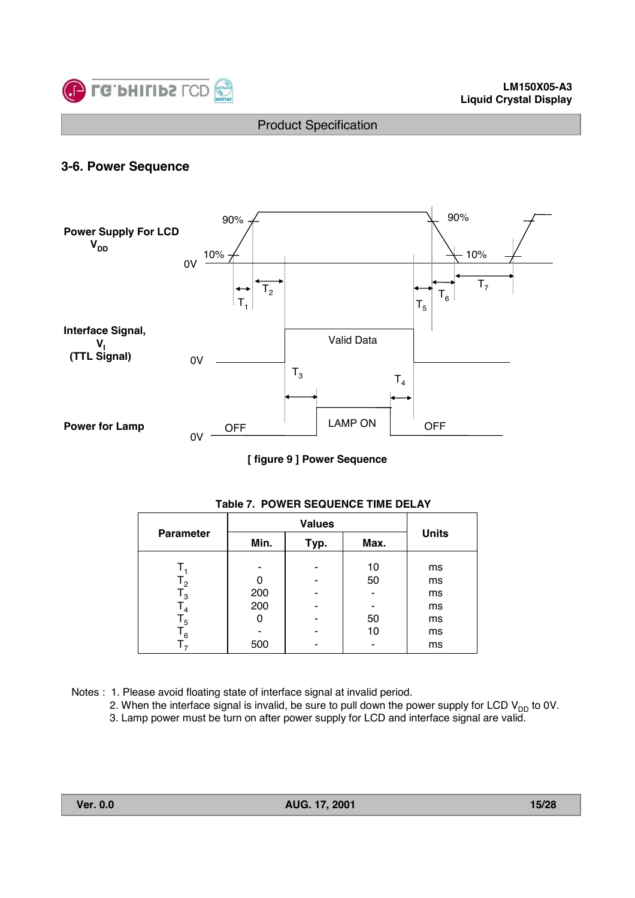

### **3-6. Power Sequence**



**[ figure 9 ] Power Sequence**

| <b>Parameter</b> | Min. | Typ. | Max. | <b>Units</b> |
|------------------|------|------|------|--------------|
|                  |      |      | 10   | ms           |
| $\mathsf{T_2}$   | 0    |      | 50   | ms           |
| $\mathsf{I}_3$   | 200  |      |      | ms           |
| 4                | 200  |      |      | ms           |
| $\mathsf{L}_5$   | 0    |      | 50   | ms           |
| 6 ا              |      |      | 10   | ms           |
|                  | 500  |      |      | ms           |

#### **Table 7. POWER SEQUENCE TIME DELAY**

Notes : 1. Please avoid floating state of interface signal at invalid period.

2. When the interface signal is invalid, be sure to pull down the power supply for LCD  $\mathsf{V}_{\mathsf{DD}}$  to 0V.

3. Lamp power must be turn on after power supply for LCD and interface signal are valid.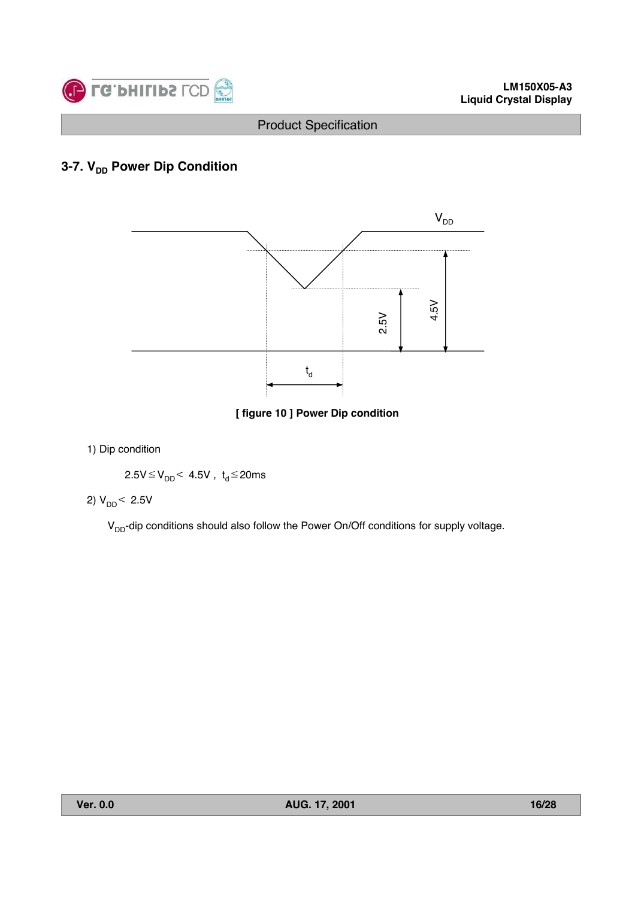

# **3-7. V<sub>DD</sub> Power Dip Condition**



**[ figure 10 ] Power Dip condition**

#### 1) Dip condition

$$
2.5V\!\leq\!V_{DD}\!\!<\,4.5V\;,\ t_d\!\leq\!20ms
$$

# 2)  $V_{DD}$  < 2.5V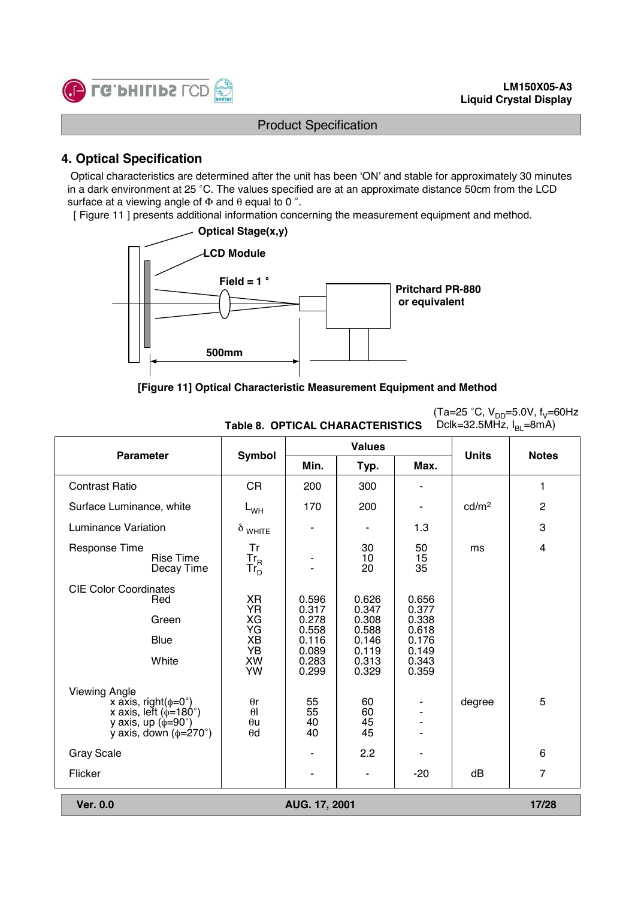(Ta=25 °C, V<sub>DD</sub>=5.0V, f<sub>V</sub>=60Hz



#### Product Specification

# **4. Optical Specification**

Optical characteristics are determined after the unit has been 'ON' and stable for approximately 30 minutes in a dark environment at 25 °C. The values specified are at an approximate distance 50cm from the LCD surface at a viewing angle of  $\Phi$  and  $\theta$  equal to 0 °.

[ Figure 11 ] presents additional information concerning the measurement equipment and method.



#### **[Figure 11] Optical Characteristic Measurement Equipment and Method**

|                                                                                                                                                               | Dclk=32.5MHz, $I_{\text{BI}}$ =8mA)<br><b>Table 8. OPTICAL CHARACTERISTICS</b> |                      |                      |                |                   |                           |  |  |
|---------------------------------------------------------------------------------------------------------------------------------------------------------------|--------------------------------------------------------------------------------|----------------------|----------------------|----------------|-------------------|---------------------------|--|--|
| <b>Parameter</b>                                                                                                                                              | Symbol                                                                         |                      | <b>Values</b>        |                | <b>Units</b>      | <b>Notes</b>              |  |  |
|                                                                                                                                                               |                                                                                | Min.                 | Typ.                 | Max.           |                   |                           |  |  |
| <b>Contrast Ratio</b>                                                                                                                                         | <b>CR</b>                                                                      | 200                  | 300                  |                |                   | 1                         |  |  |
| Surface Luminance, white                                                                                                                                      | $L_{WH}$                                                                       | 170                  | 200                  |                | cd/m <sup>2</sup> | $\overline{c}$            |  |  |
| <b>Luminance Variation</b>                                                                                                                                    | $\delta$ white                                                                 |                      |                      | 1.3            |                   | $\ensuremath{\mathsf{3}}$ |  |  |
| <b>Response Time</b><br><b>Rise Time</b><br>Decay Time                                                                                                        | Tr<br>$Tr_R$<br>Tr <sub>D</sub>                                                |                      | 30<br>10<br>20       | 50<br>15<br>35 | ms                | $\overline{\mathbf{4}}$   |  |  |
| <b>CIE Color Coordinates</b><br>Red                                                                                                                           | <b>XR</b><br><b>YR</b>                                                         | 0.596<br>0.317       | 0.626<br>0.347       | 0.656<br>0.377 |                   |                           |  |  |
| Green                                                                                                                                                         | XG<br>YG                                                                       | 0.278<br>0.558       | 0.308<br>0.588       | 0.338<br>0.618 |                   |                           |  |  |
| Blue                                                                                                                                                          | XB<br><b>YB</b>                                                                | 0.116<br>0.089       | 0.146<br>0.119       | 0.176<br>0.149 |                   |                           |  |  |
| White                                                                                                                                                         | XW<br><b>YW</b>                                                                | 0.283<br>0.299       | 0.313<br>0.329       | 0.343<br>0.359 |                   |                           |  |  |
| <b>Viewing Angle</b><br>x axis, right( $\phi = 0^{\circ}$ )<br>x axis, left ( $\phi$ =180°)<br>y axis, up ( $\phi$ =90°)<br>y axis, down $(\phi = 270^\circ)$ | $\theta$ r<br>$\theta$<br>$\theta$ u<br>$\theta$ d                             | 55<br>55<br>40<br>40 | 60<br>60<br>45<br>45 |                | degree            | 5                         |  |  |
| <b>Gray Scale</b>                                                                                                                                             |                                                                                |                      | 2.2                  |                |                   | $\,6$                     |  |  |
| Flicker                                                                                                                                                       |                                                                                |                      |                      | $-20$          | dB                | $\overline{7}$            |  |  |
| <b>Ver. 0.0</b>                                                                                                                                               |                                                                                | AUG. 17, 2001        |                      |                |                   | 17/28                     |  |  |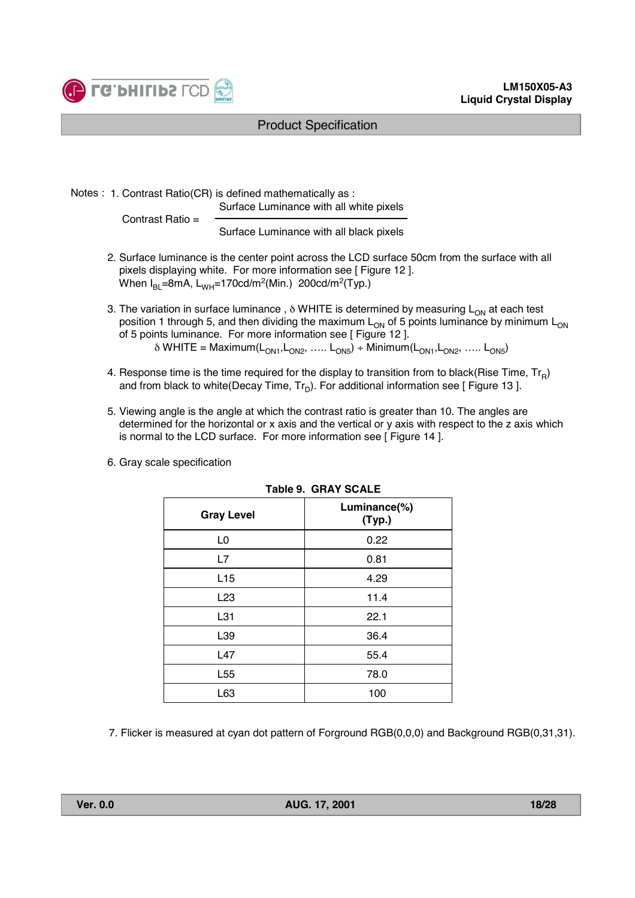

Notes : 1. Contrast Ratio(CR) is defined mathematically as :

Surface Luminance with all white pixels

Contrast Ratio =

Surface Luminance with all black pixels

- 2. Surface luminance is the center point across the LCD surface 50cm from the surface with all pixels displaying white. For more information see [ Figure 12 ]. When  $I_{BI}$ =8mA,  $L_{WH}$ =170cd/m<sup>2</sup>(Min.) 200cd/m<sup>2</sup>(Typ.)
- 3. The variation in surface luminance,  $\delta$  WHITE is determined by measuring  $L_{ON}$  at each test position 1 through 5, and then dividing the maximum  $L_{ON}$  of 5 points luminance by minimum  $L_{ON}$ of 5 points luminance. For more information see [ Figure 12 ].  $\delta$  WHITE = Maximum(L<sub>ON1</sub>, L<sub>ON2</sub>, ….. L<sub>ON5</sub>) ÷ Minimum(L<sub>ON1</sub>, L<sub>ON2</sub>, ….. L<sub>ON5</sub>)
- 4. Response time is the time required for the display to transition from to black(Rise Time,  $Tr_{\rm B}$ ) and from black to white(Decay Time,  $Tr_D$ ). For additional information see [ Figure 13 ].
- 5. Viewing angle is the angle at which the contrast ratio is greater than 10. The angles are determined for the horizontal or x axis and the vertical or y axis with respect to the z axis which is normal to the LCD surface. For more information see [ Figure 14 ].
- 6. Gray scale specification

|                   | TADIE 9. UNAT JUALE    |
|-------------------|------------------------|
| <b>Gray Level</b> | Luminance(%)<br>(Typ.) |
| L <sub>0</sub>    | 0.22                   |
| L7                | 0.81                   |
| L15               | 4.29                   |
| L <sub>23</sub>   | 11.4                   |
| L31               | 22.1                   |
| L39               | 36.4                   |
| L47               | 55.4                   |
| L <sub>55</sub>   | 78.0                   |
| L63               | 100                    |

**Table 9. GRAY SCALE**

7. Flicker is measured at cyan dot pattern of Forground RGB(0,0,0) and Background RGB(0,31,31).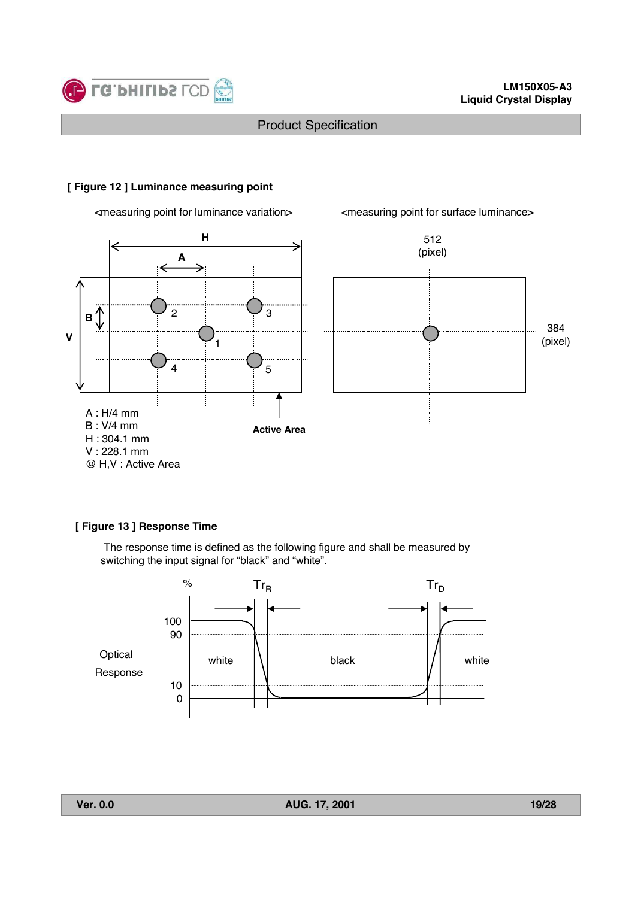

#### **[ Figure 12 ] Luminance measuring point**

<measuring point for luminance variation> <measuring point for surface luminance>





#### **[ Figure 13 ] Response Time**

The response time is defined as the following figure and shall be measured by switching the input signal for "black" and "white".

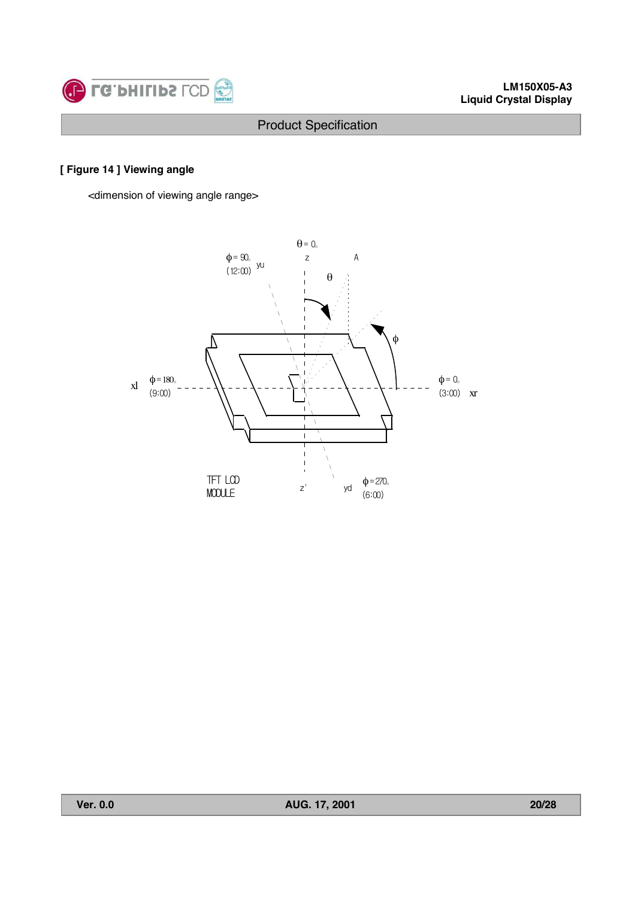

# **[ Figure 14 ] Viewing angle**

<dimension of viewing angle range>

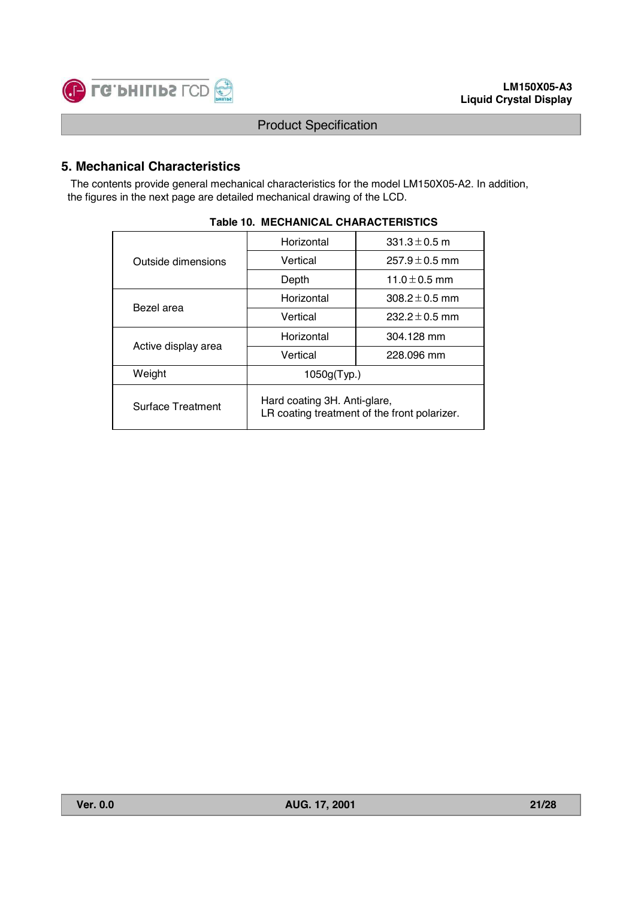

# **5. Mechanical Characteristics**

The contents provide general mechanical characteristics for the model LM150X05-A2. In addition, the figures in the next page are detailed mechanical drawing of the LCD.

|                          | Horizontal                                                                   | 331.3 $\pm$ 0.5 m  |  |  |  |
|--------------------------|------------------------------------------------------------------------------|--------------------|--|--|--|
| Outside dimensions       | Vertical                                                                     | $257.9 \pm 0.5$ mm |  |  |  |
|                          | Depth                                                                        | 11.0 $\pm$ 0.5 mm  |  |  |  |
| Bezel area               | Horizontal                                                                   | $308.2 \pm 0.5$ mm |  |  |  |
|                          | Vertical                                                                     | $232.2 \pm 0.5$ mm |  |  |  |
|                          | Horizontal                                                                   | 304.128 mm         |  |  |  |
| Active display area      | Vertical                                                                     | 228,096 mm         |  |  |  |
| Weight                   | 1050g(Typ.)                                                                  |                    |  |  |  |
| <b>Surface Treatment</b> | Hard coating 3H. Anti-glare,<br>LR coating treatment of the front polarizer. |                    |  |  |  |

#### **Table 10. MECHANICAL CHARACTERISTICS**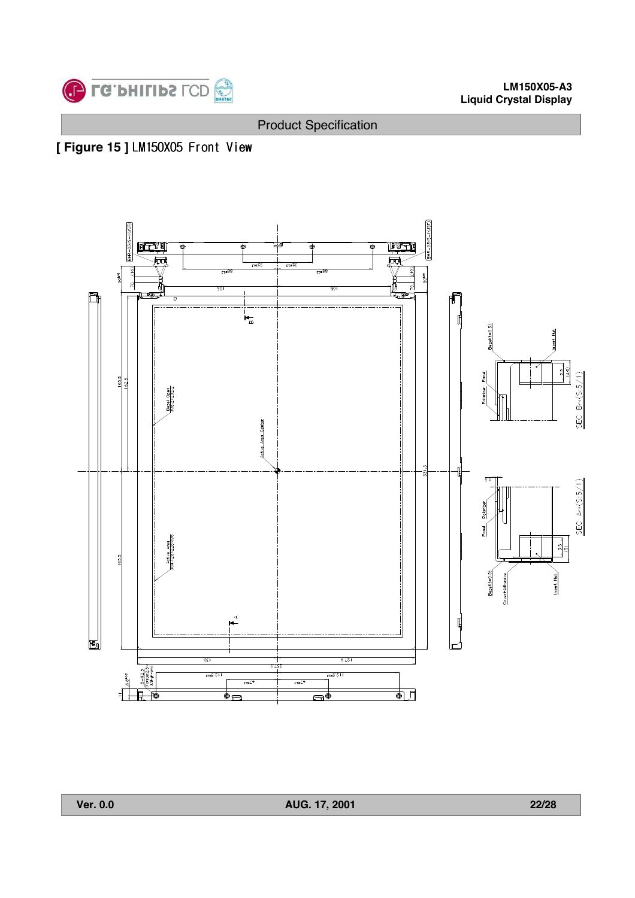

**[ Figure 15 ] LM150X05 Front View** 



**Ver. 0.0 AUG. 17, 2001 22/28**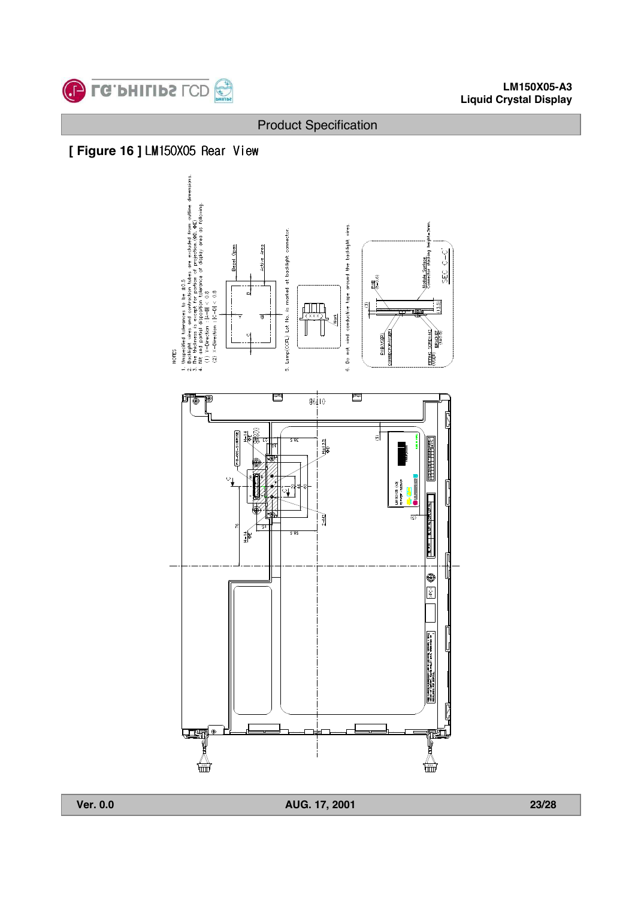





**Ver. 0.0 AUG. 17, 2001 23/28**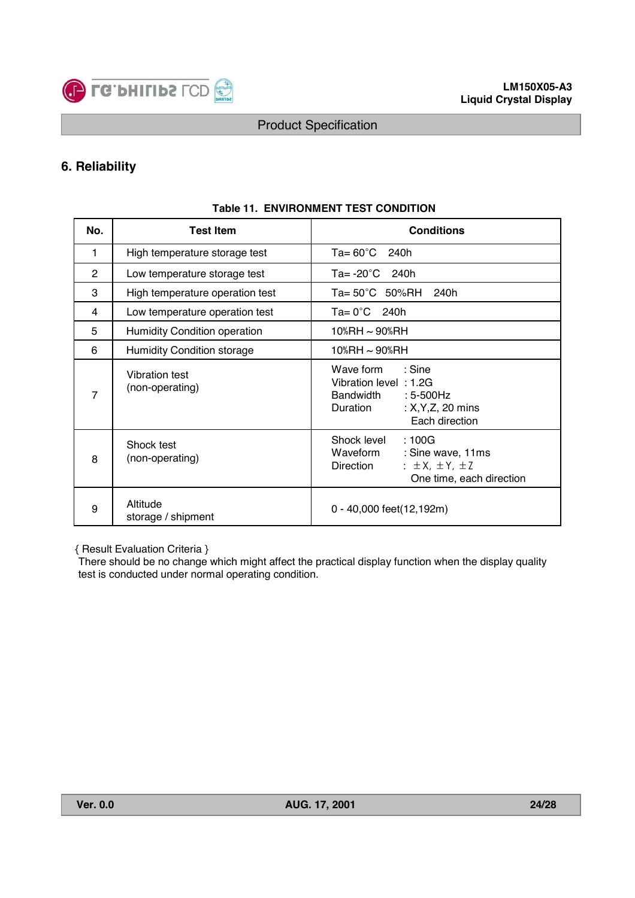

# **6. Reliability**

| No. | <b>Test Item</b>                    | <b>Conditions</b>                                                                                                                          |  |  |  |  |  |
|-----|-------------------------------------|--------------------------------------------------------------------------------------------------------------------------------------------|--|--|--|--|--|
| 1   | High temperature storage test       | $Ta = 60^{\circ}C$ 240h                                                                                                                    |  |  |  |  |  |
| 2   | Low temperature storage test        | Ta= $-20^{\circ}$ C 240h                                                                                                                   |  |  |  |  |  |
| 3   | High temperature operation test     | Ta= 50°C 50%RH<br>240h                                                                                                                     |  |  |  |  |  |
| 4   | Low temperature operation test      | $Ta = 0^{\circ}C$ 240h                                                                                                                     |  |  |  |  |  |
| 5   | <b>Humidity Condition operation</b> | 10%RH ~ 90%RH                                                                                                                              |  |  |  |  |  |
| 6   | <b>Humidity Condition storage</b>   | 10%RH ~ 90%RH                                                                                                                              |  |  |  |  |  |
| 7   | Vibration test<br>(non-operating)   | $\therefore$ Sine<br>Wave form<br>Vibration level: 1.2G<br>Bandwidth<br>$: 5-500$ Hz<br>Duration<br>: $X, Y, Z, 20$ mins<br>Each direction |  |  |  |  |  |
| 8   | Shock test<br>(non-operating)       | Shock level<br>:100G<br>Waveform<br>: Sine wave, 11ms<br>$\pm$ ± X, $\pm$ Y, $\pm$ Z<br>Direction<br>One time, each direction              |  |  |  |  |  |
| 9   | Altitude<br>storage / shipment      | 0 - 40,000 feet(12,192m)                                                                                                                   |  |  |  |  |  |

#### **Table 11. ENVIRONMENT TEST CONDITION**

{ Result Evaluation Criteria }

There should be no change which might affect the practical display function when the display quality test is conducted under normal operating condition.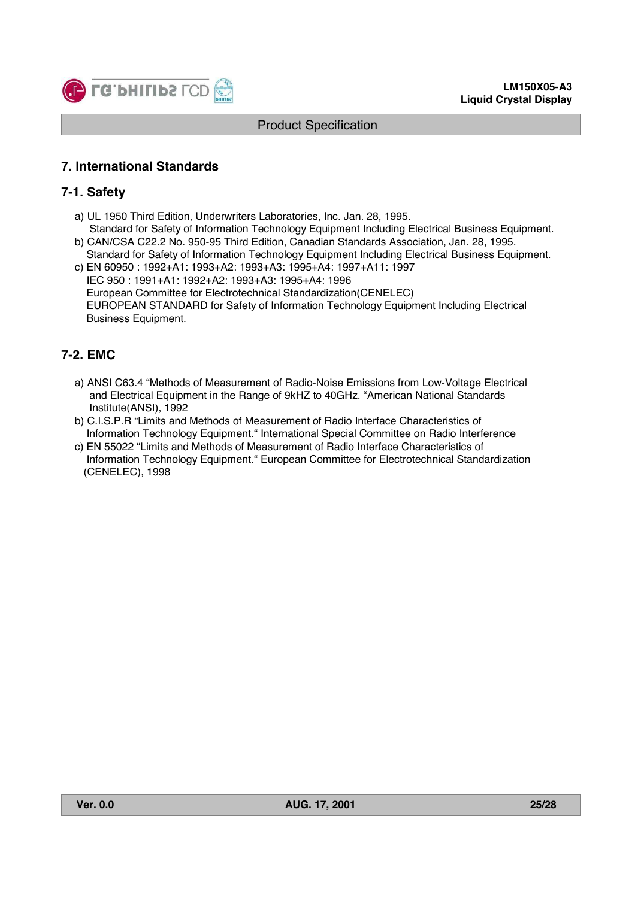

# **7. International Standards**

### **7-1. Safety**

- a) UL 1950 Third Edition, Underwriters Laboratories, Inc. Jan. 28, 1995.
- Standard for Safety of Information Technology Equipment Including Electrical Business Equipment. b) CAN/CSA C22.2 No. 950-95 Third Edition, Canadian Standards Association, Jan. 28, 1995.
- Standard for Safety of Information Technology Equipment Including Electrical Business Equipment. c) EN 60950 : 1992+A1: 1993+A2: 1993+A3: 1995+A4: 1997+A11: 1997
- IEC 950 : 1991+A1: 1992+A2: 1993+A3: 1995+A4: 1996 European Committee for Electrotechnical Standardization(CENELEC) EUROPEAN STANDARD for Safety of Information Technology Equipment Including Electrical Business Equipment.

# **7-2. EMC**

- a) ANSI C63.4 "Methods of Measurement of Radio-Noise Emissions from Low-Voltage Electrical and Electrical Equipment in the Range of 9kHZ to 40GHz. "American National Standards Institute(ANSI), 1992
- b) C.I.S.P.R "Limits and Methods of Measurement of Radio Interface Characteristics of Information Technology Equipment." International Special Committee on Radio Interference
- c) EN 55022 "Limits and Methods of Measurement of Radio Interface Characteristics of Information Technology Equipment." European Committee for Electrotechnical Standardization (CENELEC), 1998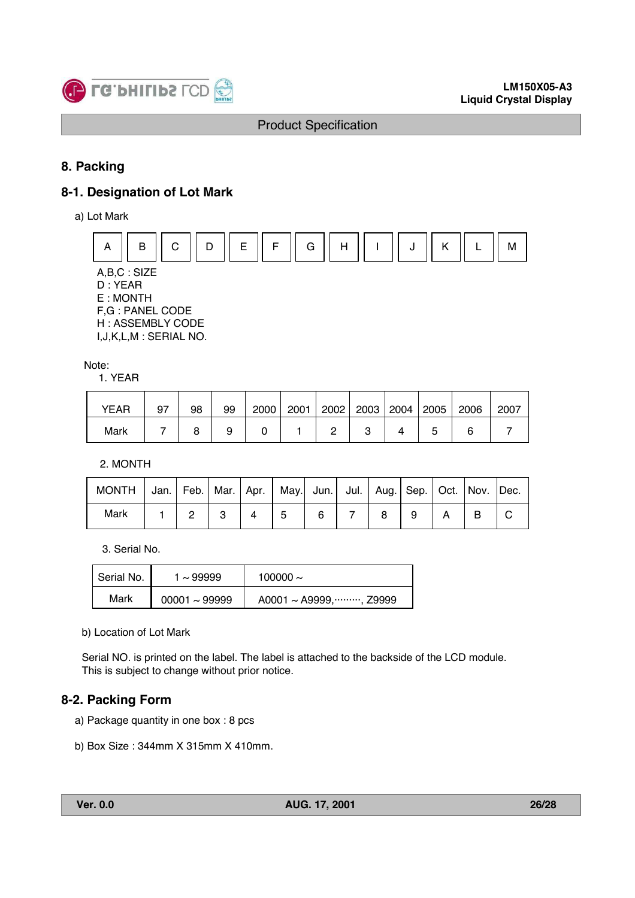

# **8. Packing**

# **8-1. Designation of Lot Mark**

a) Lot Mark



A,B,C : SIZE D : YEAR E : MONTH F,G : PANEL CODE H : ASSEMBLY CODE

I,J,K,L,M : SERIAL NO.

Note:

1. YEAR

| <b>YEAR</b> | 97 | 98 | 99 | 2000 | 2001 | 2002 | 2003 2004 | 2005 | 2006 | 2007 |
|-------------|----|----|----|------|------|------|-----------|------|------|------|
| Mark        |    |    |    |      |      |      |           |      |      |      |

2. MONTH

| MONTH   Jan.   Feb.   Mar.   Apr.   May.  Jun.   Jul.   Aug.   Sep.   Oct.   Nov.   Dec. |  |  |   |  |  |  |
|------------------------------------------------------------------------------------------|--|--|---|--|--|--|
| Mark                                                                                     |  |  | 6 |  |  |  |

3. Serial No.

| Serial No. | $\sim$ 99999       | 100000 $\sim$          |
|------------|--------------------|------------------------|
| Mark       | $00001 \sim 99999$ | A0001 ~ A9999, , Z9999 |

b) Location of Lot Mark

Serial NO. is printed on the label. The label is attached to the backside of the LCD module. This is subject to change without prior notice.

# **8-2. Packing Form**

- a) Package quantity in one box : 8 pcs
- b) Box Size : 344mm X 315mm X 410mm.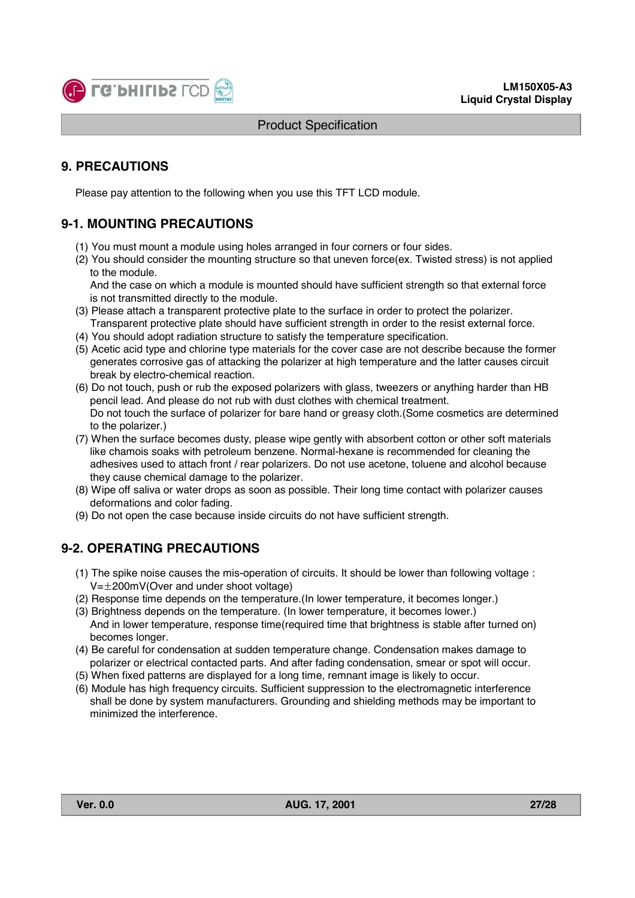

# **9. PRECAUTIONS**

Please pay attention to the following when you use this TFT LCD module.

# **9-1. MOUNTING PRECAUTIONS**

- (1) You must mount a module using holes arranged in four corners or four sides.
- (2) You should consider the mounting structure so that uneven force(ex. Twisted stress) is not applied to the module.

And the case on which a module is mounted should have sufficient strength so that external force is not transmitted directly to the module.

- (3) Please attach a transparent protective plate to the surface in order to protect the polarizer. Transparent protective plate should have sufficient strength in order to the resist external force.
- (4) You should adopt radiation structure to satisfy the temperature specification.
- (5) Acetic acid type and chlorine type materials for the cover case are not describe because the former generates corrosive gas of attacking the polarizer at high temperature and the latter causes circuit break by electro-chemical reaction.
- (6) Do not touch, push or rub the exposed polarizers with glass, tweezers or anything harder than HB pencil lead. And please do not rub with dust clothes with chemical treatment. Do not touch the surface of polarizer for bare hand or greasy cloth.(Some cosmetics are determined to the polarizer.)
- (7) When the surface becomes dusty, please wipe gently with absorbent cotton or other soft materials like chamois soaks with petroleum benzene. Normal-hexane is recommended for cleaning the adhesives used to attach front / rear polarizers. Do not use acetone, toluene and alcohol because they cause chemical damage to the polarizer.
- (8) Wipe off saliva or water drops as soon as possible. Their long time contact with polarizer causes deformations and color fading.
- (9) Do not open the case because inside circuits do not have sufficient strength.

# **9-2. OPERATING PRECAUTIONS**

- (1) The spike noise causes the mis-operation of circuits. It should be lower than following voltage :  $V=\pm 200$ mV(Over and under shoot voltage)
- (2) Response time depends on the temperature.(In lower temperature, it becomes longer.)
- (3) Brightness depends on the temperature. (In lower temperature, it becomes lower.) And in lower temperature, response time(required time that brightness is stable after turned on) becomes longer.
- (4) Be careful for condensation at sudden temperature change. Condensation makes damage to polarizer or electrical contacted parts. And after fading condensation, smear or spot will occur.
- (5) When fixed patterns are displayed for a long time, remnant image is likely to occur.
- (6) Module has high frequency circuits. Sufficient suppression to the electromagnetic interference shall be done by system manufacturers. Grounding and shielding methods may be important to minimized the interference.